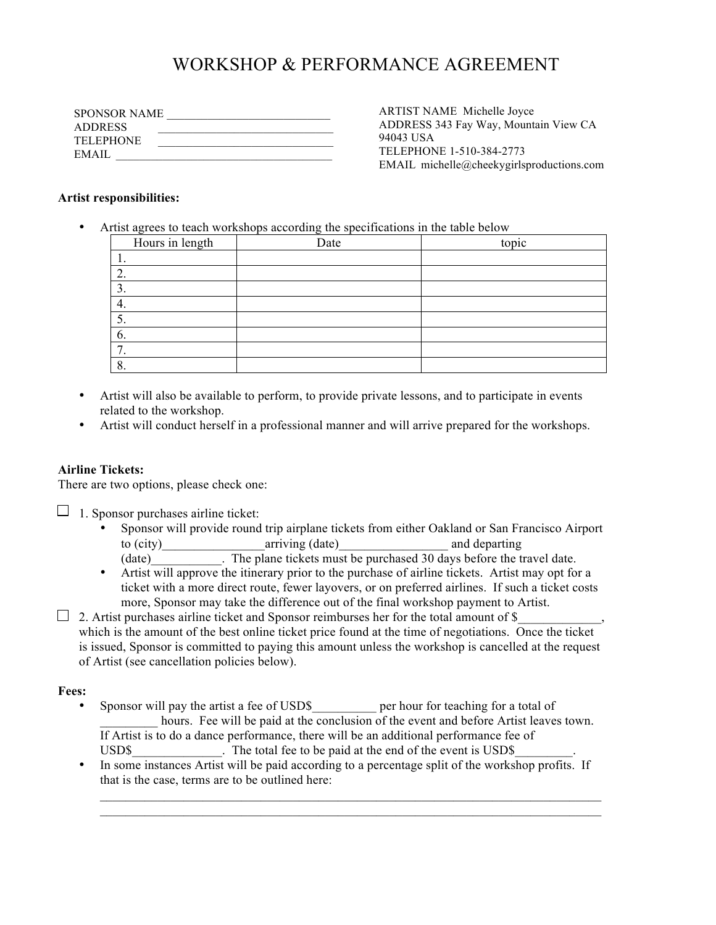# WORKSHOP & PERFORMANCE AGREEMENT

| <b>SPONSOR NAME</b> |  |
|---------------------|--|
| <b>ADDRESS</b>      |  |
| <b>TELEPHONE</b>    |  |
| EMAIL               |  |

ARTIST NAME Michelle Joyce ADDRESS 343 Fay Way, Mountain View CA 94043 USA TELEPHONE 1-510-384-2773 EMAIL michelle@cheekygirlsproductions.com

#### **Artist responsibilities:**

• Artist agrees to teach workshops according the specifications in the table below

| Hours in length | Date | topic |
|-----------------|------|-------|
|                 |      |       |
|                 |      |       |
|                 |      |       |
|                 |      |       |
|                 |      |       |
| $\sigma$ .      |      |       |
|                 |      |       |
|                 |      |       |

- Artist will also be available to perform, to provide private lessons, and to participate in events related to the workshop.
- Artist will conduct herself in a professional manner and will arrive prepared for the workshops.

### **Airline Tickets:**

There are two options, please check one:

 $\Box$ 1. Sponsor purchases airline ticket:

- Sponsor will provide round trip airplane tickets from either Oakland or San Francisco Airport to (city) arriving (date) and departing and departing
	- (date) The plane tickets must be purchased 30 days before the travel date.
- Artist will approve the itinerary prior to the purchase of airline tickets. Artist may opt for a ticket with a more direct route, fewer layovers, or on preferred airlines. If such a ticket costs more, Sponsor may take the difference out of the final workshop payment to Artist.
- $\Box$  2. Artist purchases airline ticket and Sponsor reimburses her for the total amount of \$ which is the amount of the best online ticket price found at the time of negotiations. Once the ticket is issued, Sponsor is committed to paying this amount unless the workshop is cancelled at the request of Artist (see cancellation policies below).

### **Fees:**

- Sponsor will pay the artist a fee of USD\$\_\_\_\_\_\_\_\_\_\_ per hour for teaching for a total of hours. Fee will be paid at the conclusion of the event and before Artist leaves town. If Artist is to do a dance performance, there will be an additional performance fee of USD\$ The total fee to be paid at the end of the event is USD\$
- In some instances Artist will be paid according to a percentage split of the workshop profits. If that is the case, terms are to be outlined here:

 $\mathcal{L}_\text{max} = \mathcal{L}_\text{max} = \mathcal{L}_\text{max} = \mathcal{L}_\text{max} = \mathcal{L}_\text{max} = \mathcal{L}_\text{max} = \mathcal{L}_\text{max} = \mathcal{L}_\text{max} = \mathcal{L}_\text{max} = \mathcal{L}_\text{max} = \mathcal{L}_\text{max} = \mathcal{L}_\text{max} = \mathcal{L}_\text{max} = \mathcal{L}_\text{max} = \mathcal{L}_\text{max} = \mathcal{L}_\text{max} = \mathcal{L}_\text{max} = \mathcal{L}_\text{max} = \mathcal{$  $\mathcal{L}_\text{max} = \mathcal{L}_\text{max} = \mathcal{L}_\text{max} = \mathcal{L}_\text{max} = \mathcal{L}_\text{max} = \mathcal{L}_\text{max} = \mathcal{L}_\text{max} = \mathcal{L}_\text{max} = \mathcal{L}_\text{max} = \mathcal{L}_\text{max} = \mathcal{L}_\text{max} = \mathcal{L}_\text{max} = \mathcal{L}_\text{max} = \mathcal{L}_\text{max} = \mathcal{L}_\text{max} = \mathcal{L}_\text{max} = \mathcal{L}_\text{max} = \mathcal{L}_\text{max} = \mathcal{$